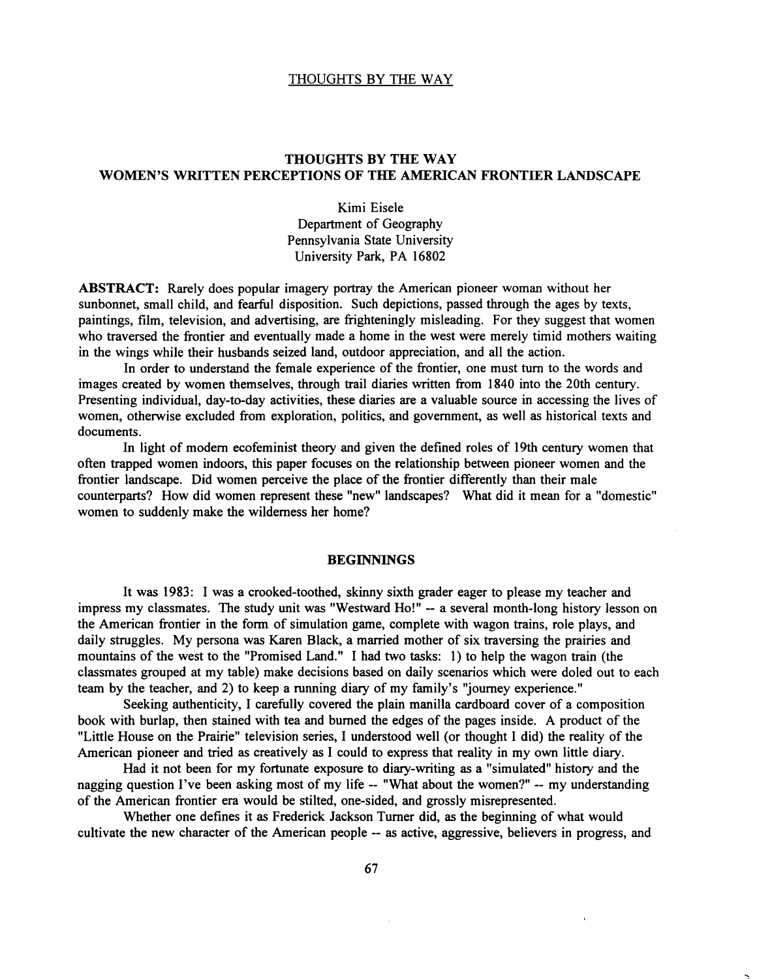# THOUGHTS BY THE WAY WOMEN'S WRITTEN PERCEPTIONS OF THE AMERICAN FRONTIER LANDSCAPE

Kimi Eisele Department of Geography Pennsylvania State University University Park, PA 16802

ABSTRACT: Rarely does popular imagery portray the American pioneer woman without her sunbonnet, small child, and fearful disposition. Such depictions, passed through the ages by texts, paintings, film, television, and advertising, are frighteningly misleading. For they suggest that women who traversed the frontier and eventually made a home in the west were merely timid mothers waiting in the wings while their husbands seized land, outdoor appreciation, and all the action.

In order to understand the female experience of the frontier, one must tum to the words and images created by women themselves, through trail diaries written from 1840 into the 20th century. Presenting individual, day-to-day activities, these diaries are a valuable source in accessing the lives of women, otherwise excluded from exploration, politics, and government, as well as historical texts and documents.

In light of modem ecofeminist theory and given the defined roles of 19th century women that often trapped women indoors, this paper focuses on the relationship between pioneer women and the frontier landscape. Did women perceive the place of the frontier differently than their male counterparts? How did women represent these "new" landscapes? What did it mean for a "domestic" women to suddenly make the wilderness her home?

### **BEGINNINGS**

It was 1983: I was a crooked-toothed, skinny sixth grader eager to please my teacher and impress my classmates. The study unit was "Westward Ho!" -- a several month-long history lesson on the American frontier in the form of simulation game, complete with wagon trains, role plays, and daily struggles. My persona was Karen Black, a married mother of six traversing the prairies and mountains of the west to the "Promised Land." I had two tasks: 1) to help the wagon train (the classmates grouped at my table) make decisions based on daily scenarios which were doled out to each team by the teacher, and 2) to keep a running diary of my family's "journey experience."

Seeking authenticity, I carefully covered the plain manilla cardboard cover of a composition book with burlap, then stained with tea and burned the edges of the pages inside. A product of the "Little House on the Prairie" television series, I understood well (or thought I did) the reality of the American pioneer and tried as creatively as I could to express that reality in my own little diary.

Had it not been for my fortunate exposure to diary-writing as a "simulated" history and the nagging question I've been asking most of my life -- "What about the women?" -- my understanding of the American frontier era would be stilted, one-sided, and grossly misrepresented.

Whether one defines it as Frederick Jackson Turner did, as the beginning of what would cultivate the new character of the American people -- as active, aggressive, believers in progress, and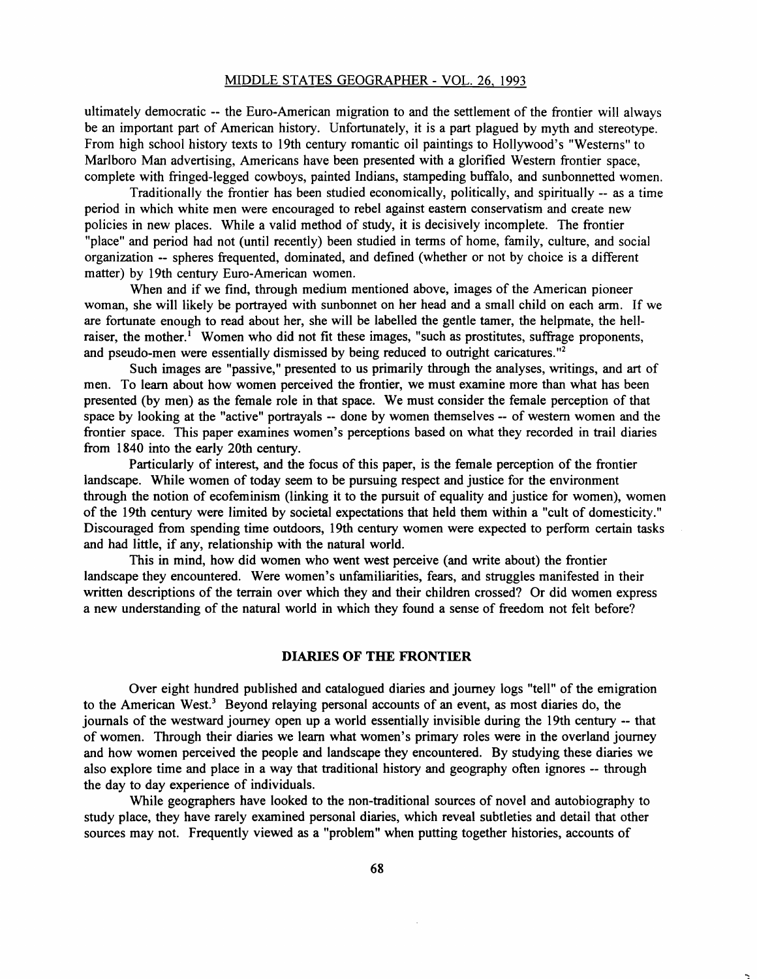ultimately democratic -- the Euro-American migration to and the settlement of the frontier will always be an important part of American history. Unfortunately, it is a part plagued by myth and stereotype. From high school history texts to 19th century romantic oil paintings to Hollywood's "Westerns" to Marlboro Man advertising, Americans have been presented with a glorified Western frontier space, complete with fringed-legged cowboys, painted Indians, stampeding buffalo, and sunbonnetted women.

Traditionally the frontier has been studied economically, politically, and spiritually -- as a time period in which white men were encouraged to rebel against eastern conservatism and create new policies in new places. While a valid method of study, it is decisively incomplete. The frontier "place" and period had not (until recently) been studied in terms of home, family, culture, and social organization -- spheres frequented, dominated, and defined (whether or not by choice is a different matter) by 19th century Euro-American women.

When and if we find, through medium mentioned above, images of the American pioneer woman, she will likely be portrayed with sunbonnet on her head and a small child on each arm. If we are fortunate enough to read about her, she will be labelled the gentle tamer, the helpmate, the hellraiser, the mother.<sup> $1$ </sup> Women who did not fit these images, "such as prostitutes, suffrage proponents, and pseudo-men were essentially dismissed by being reduced to outright caricatures."<sup>2</sup>

Such images are "passive," presented to us primarily through the analyses, writings, and art of men. To learn about how women perceived the frontier, we must examine more than what has been presented (by men) as the female role in that space. We must consider the female perception of that space by looking at the "active" portrayals -- done by women themselves -- of western women and the frontier space. This paper examines women's perceptions based on what they recorded in trail diaries from 1840 into the early 20th century.

Particularly of interest, and the focus of this paper, is the female perception of the frontier landscape. While women of today seem to be pursuing respect and justice for the environment through the notion of ecofeminism (linking it to the pursuit of equality and justice for women), women of the 19th century were limited by societal expectations that held them within a "cult of domesticity." Discouraged from spending time outdoors, 19th century women were expected to perform certain tasks and had little, if any, relationship with the natural world.

This in mind, how did women who went west perceive (and write about) the frontier landscape they encountered. Were women's unfamiliarities, fears, and struggles manifested in their written descriptions of the terrain over which they and their children crossed? Or did women express a new understanding of the natural world in which they found a sense of freedom not felt before?

### DIARIES **OF THE FRONTIER**

Over eight hundred published and catalogued diaries and journey logs "tell" of the emigration to the American West.<sup>3</sup> Beyond relaying personal accounts of an event, as most diaries do, the journals of the westward journey open up a world essentially invisible during the 19th century -- that of women. Through their diaries we learn what women's primary roles were in the overland journey and how women perceived the people and landscape they encountered. By studying these diaries we also explore time and place in a way that traditional history and geography often ignores -- through the day to day experience of individuals.

While geographers have looked to the non-traditional sources of novel and autobiography to study place, they have rarely examined personal diaries, which reveal subtleties and detail that other sources may not. Frequently viewed as a "problem" when putting together histories, accounts of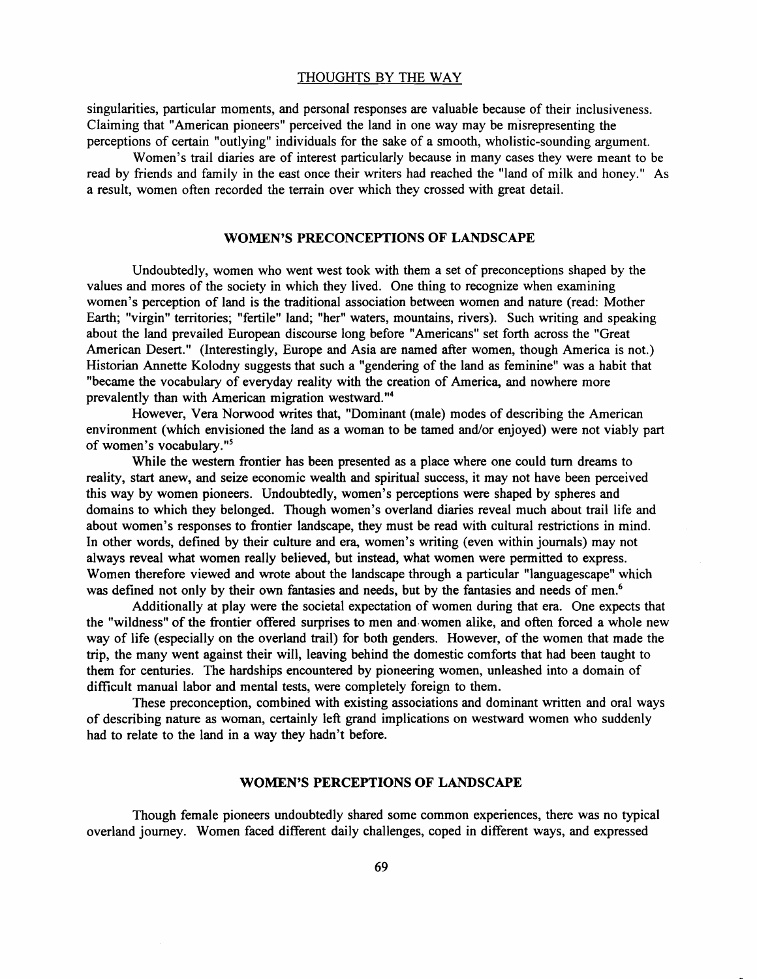singularities, particular moments, and personal responses are valuable because of their inclusiveness. Claiming that "American pioneers" perceived the land in one way may be misrepresenting the perceptions of certain "outlying" individuals for the sake of a smooth, wholistie-sounding argument.

Women's trail diaries are of interest particularly because in many cases they were meant to be read by friends and family in the east once their writers had reached the "land of milk and honey." As a result, women often recorded the terrain over which they crossed with great detail.

### WOMEN'S PRECONCEPTIONS OF LANDSCAPE

Undoubtedly, women who went west took with them a set of preconceptions shaped by the values and mores of the society in which they lived. One thing to recognize when examining women's perception of land is the traditional association between women and nature (read: Mother Earth; "virgin" territories; "fertile" land; "her" waters, mountains, rivers). Such writing and speaking about the land prevailed European discourse long before "Americans" set forth across the "Great American Desert." (Interestingly, Europe and Asia are named after women, though America is not.) Historian Annette Kolodny suggests that such a "gendering of the land as feminine" was a habit that "became the vocabulary of everyday reality with the creation of America, and nowhere more prevalently than with American migration westward."<sup>4</sup>

However, Vera Norwood writes that, "Dominant (male) modes of describing the American environment (which envisioned the land as a woman to be tamed and/or enjoyed) were not viably part of women's vocabulary.<sup>"5</sup>

While the western frontier has been presented as a place where one could tum dreams to reality, start anew, and seize economic wealth and spiritual success, it may not have been perceived this way by women pioneers. Undoubtedly, women's perceptions were shaped by spheres and domains to which they belonged. Though women's overland diaries reveal much about trail life and about women's responses to frontier landscape, they must be read with cultural restrictions in mind. In other words, defined by their culture and era, women's writing (even within journals) may not always reveal what women really believed, but instead, what women were permitted to express. Women therefore viewed and wrote about the landscape through a particular "languagescape" which was defined not only by their own fantasies and needs, but by the fantasies and needs of men.<sup>6</sup>

Additionally at play were the societal expectation of women during that era. One expects that the "wildness" of the frontier offered surprises to men and· women alike, and often forced a whole new way of life (especially on the overland trail) for both genders. However, of the women that made the trip, the many went against their will, leaving behind the domestic comforts that had been taught to them for centuries. The hardships encountered by pioneering women, unleashed into a domain of difficult manual labor and mental tests, were completely foreign to them.

These preconception, combined with existing associations and dominant written and oral ways of describing nature as woman, certainly left grand implications on westward women who suddenly had to relate to the land in a way they hadn't before.

### WOMEN'S PERCEPTIONS OF LANDSCAPE

Though female pioneers undoubtedly shared some common experiences, there was no typical overland journey. Women faced different daily challenges, coped in different ways, and expressed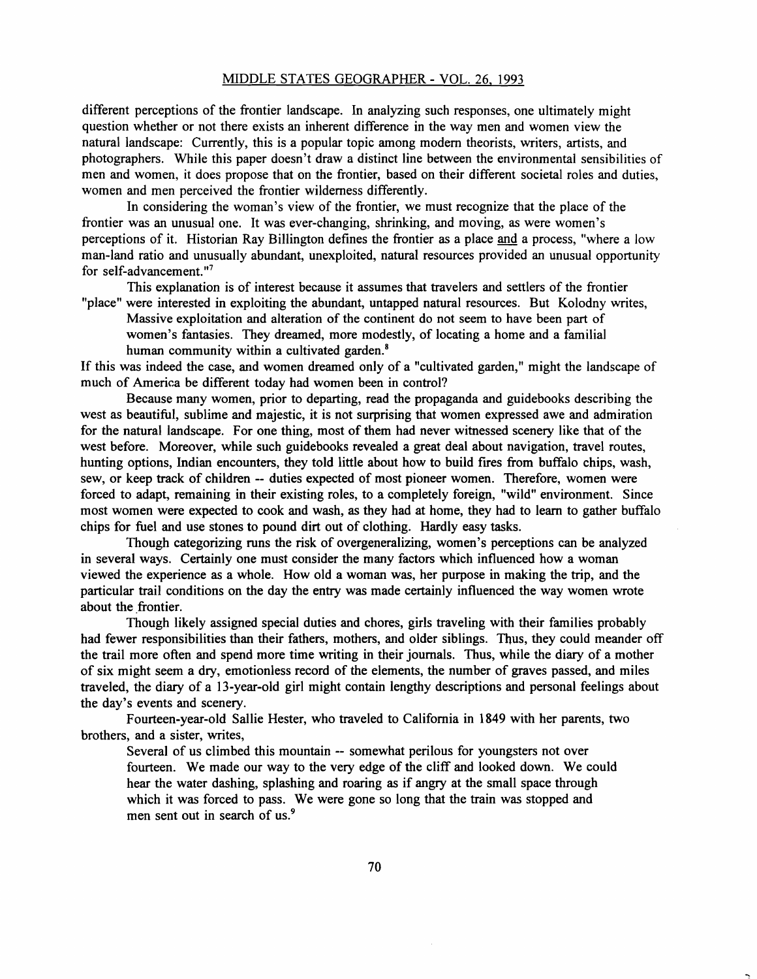#### MIDDLE STATES GEOGRAPHER - VOL. 26, 1993

different perceptions of the frontier landscape. In analyzing such responses, one ultimately might question whether or not there exists an inherent difference in the way men and women view the natural landscape: Currently, this is a popular topic among modem theorists, writers, artists, and photographers. While this paper doesn't draw a distinct line between the environmental sensibilities of men and women, it does propose that on the frontier, based on their different societal roles and duties, women and men perceived the frontier wilderness differently.

In considering the woman's view of the frontier, we must recognize that the place of the frontier was an unusual one. It was ever-changing, shrinking, and moving, as were women's perceptions of it. Historian Ray Billington defines the frontier as a place and a process, "where a low man-land ratio and unusually abundant, unexploited, natural resources provided an unusual opportunity for self-advancement."7

This explanation is of interest because it assumes that travelers and settlers of the frontier "place" were interested in exploiting the abundant, untapped natural resources. But Kolodny writes,

Massive exploitation and alteration of the continent do not seem to have been part of women's fantasies. They dreamed, more modestly, of locating a home and a familial human community within a cultivated garden.<sup>8</sup>

If this was indeed the case, and women dreamed only of a "cultivated garden," might the landscape of much of America be different today had women been in control?

Because many women, prior to departing, read the propaganda and guidebooks describing the west as beautiful, sublime and majestic, it is not surprising that women expressed awe and admiration for the natural landscape. For one thing, most of them had never witnessed scenery like that of the west before. Moreover, while such guidebooks revealed a great deal about navigation, travel routes, hunting options, Indian encounters, they told little about how to build fires from buffalo chips, wash, sew, or keep track of children -- duties expected of most pioneer women. Therefore, women were forced to adapt, remaining in their existing roles, to a completely foreign, "wild" environment. Since most women were expected to cook and wash, as they had at home, they had to learn to gather buffalo chips for fuel and use stones to pound dirt out of clothing. Hardly easy tasks.

Though categorizing runs the risk of overgeneralizing, women's perceptions can be analyzed in several ways. Certainly one must consider the many factors which influenced how a woman viewed the experience as a whole. How old a woman was, her purpose in making the trip, and the particular trail conditions on the day the entry was made certainly influenced the way women wrote about the frontier.

Though likely assigned special duties and chores, girls traveling with their families probably had fewer responsibilities than their fathers, mothers, and older siblings. Thus, they could meander off the trail more often and spend more time writing in their journals. Thus, while the diary of a mother of six might seem a dry, emotionless record of the elements, the number of graves passed, and miles traveled, the diary of a 13-year-old girl might contain lengthy descriptions and personal feelings about the day's events and scenery.

Fourteen-year-old Sallie Hester, who traveled to California in 1849 with her parents, two brothers, and a sister, writes,

Several of us climbed this mountain -- somewhat perilous for youngsters not over fourteen. We made our way to the very edge of the cliff and looked down. We could hear the water dashing, splashing and roaring as if angry at the small space through which it was forced to pass. We were gone so long that the train was stopped and men sent out in search of us.<sup>9</sup>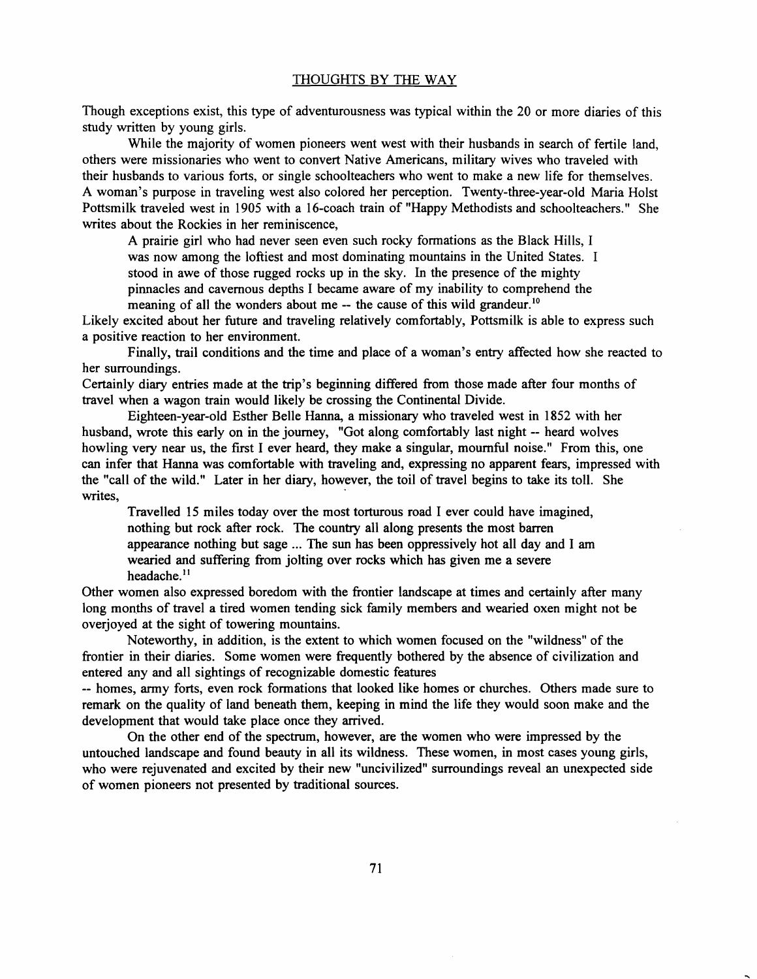Though exceptions exist, this type of adventurousness was typical within the 20 or more diaries of this study written by young girls.

While the majority of women pioneers went west with their husbands in search of fertile land, others were missionaries who went to convert Native Americans, military wives who traveled with their husbands to various forts, or single schoolteachers who went to make a new life for themselves. A woman's purpose in traveling west also colored her perception. Twenty-three-year-old Maria Holst Pottsmilk traveled west in 1905 with a 16-coach train of "Happy Methodists and schoolteachers." She writes about the Rockies in her reminiscence,

A prairie girl who had never seen even such rocky formations as the Black Hills, I

was now among the loftiest and most dominating mountains in the United States. I

stood in awe of those rugged rocks up in the sky. In the presence of the mighty

pinnacles and cavernous depths I became aware of my inability to comprehend the meaning of all the wonders about me -- the cause of this wild grandeur.<sup>10</sup>

Likely excited about her future and traveling relatively comfortably, Pottsmilk is able to express such a positive reaction to her environment.

Finally, trail conditions and the time and place of a woman's entry affected how she reacted to her surroundings.

Certainly diary entries made at the trip's beginning differed from those made after four months of travel when a wagon train would likely be crossing the Continental Divide.

Eighteen-year-old Esther Belle Hanna, a missionary who traveled west in 1852 with her husband, wrote this early on in the journey, "Got along comfortably last night -- heard wolves howling very near us, the first I ever heard, they make a singular, mournful noise." From this, one can infer that Hanna was comfortable with traveling and, expressing no apparent fears, impressed with the "call of the wild." Later in her diary, however, the toil of travel begins to take its toll. She writes,

Travelled 15 miles today over the most torturous road I ever could have imagined, nothing but rock after rock. The country all along presents the most barren appearance nothing but sage ... The sun has been oppressively hot all day and I am wearied and suffering from jolting over rocks which has given me a severe headache.<sup>11</sup>

Other women also expressed boredom with the frontier landscape at times and certainly after many long months of travel a tired women tending sick family members and wearied oxen might not be overjoyed at the sight of towering mountains.

Noteworthy, in addition, is the extent to which women focused on the "wildness" of the frontier in their diaries. Some women were frequently bothered by the absence of civilization and entered any and all sightings of recognizable domestic features

-- homes, army forts, even rock formations that looked like homes or churches. Others made sure to remark on the quality of land beneath them, keeping in mind the life they would soon make and the development that would take place once they arrived.

On the other end of the spectrum, however, are the women who were impressed by the untouched landscape and found beauty in all its wildness. These women, in most cases young girls, who were rejuvenated and excited by their new "uncivilized" surroundings reveal an unexpected side of women pioneers not presented by traditional sources.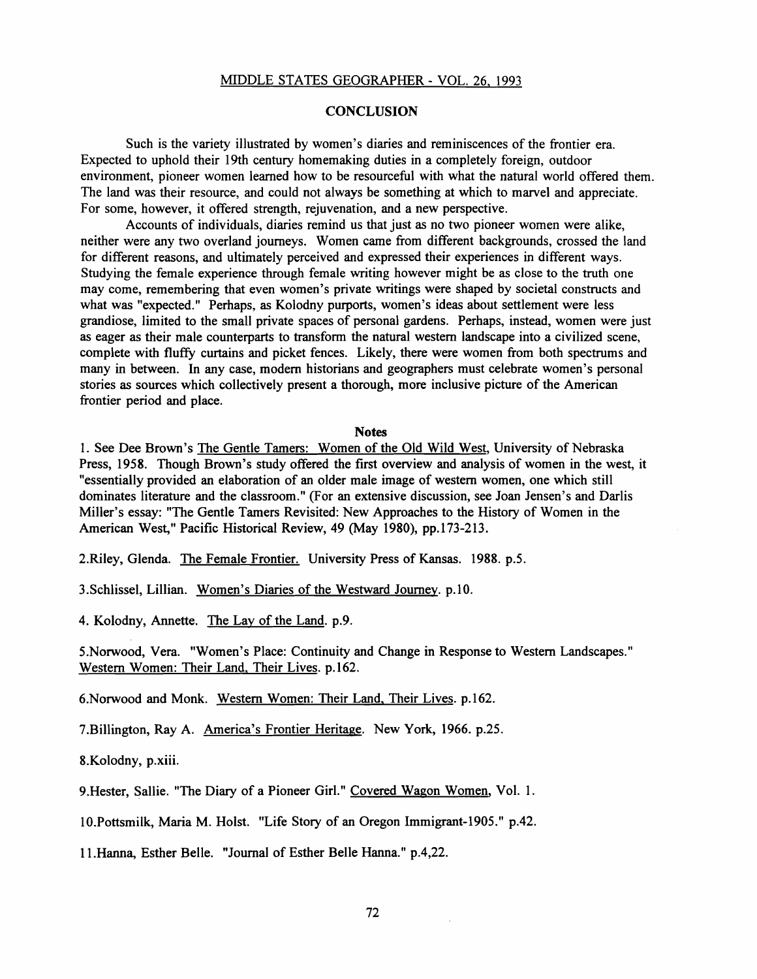# MIDDLE STATES GEOGRAPHER - VOL. 26. 1993

## **CONCLUSION**

Such is the variety illustrated by women's diaries and reminiscences of the frontier era. Expected to uphold their 19th century homemaking duties in a completely foreign, outdoor environment, pioneer women learned how to be resourceful with what the natural world offered them. The land was their resource, and could not always be something at which to marvel and appreciate. For some, however, it offered strength, rejuvenation, and a new perspective.

Accounts of individuals, diaries remind us that just as no two pioneer women were alike, neither were any two overland journeys. Women came from different backgrounds, crossed the land for different reasons, and ultimately perceived and expressed their experiences in different ways. Studying the female experience through female writing however might be as close to the truth one may come, remembering that even women's private writings were shaped by societal constructs and what was "expected." Perhaps, as Kolodny purports, women's ideas about settlement were less grandiose, limited to the small private spaces of personal gardens. Perhaps, instead, women were just as eager as their male counterparts to transform the natural western landscape into a civilized scene, complete with fluffy curtains and picket fences. Likely, there were women from both spectrums and many in between. In any case, modem historians and geographers must celebrate women's personal stories as sources which collectively present a thorough, more inclusive picture of the American frontier period and place.

#### **Notes**

1. See Dee Brown's The Gentle Tamers: Women of the Old Wild West, University of Nebraska Press, 1958. Though Brown's study offered the first overview and analysis of women in the west, it "essentially provided an elaboration of an older male image of western women, one which still dominates literature and the classroom." (For an extensive discussion, see Joan Jensen's and Darlis Miller's essay: "The Gentle Tamers Revisited: New Approaches to the History of Women in the American West," Pacific Historical Review, 49 (May 1980), pp.173-213.

2.Riley, Glenda. The Female Frontier. University Press of Kansas. 1988. p.5.

3.Schlissel, Lillian. Women's Diaries of the Westward Journey. p.IO.

4. Kolodny, Annette. The Lay of the Land. p.9.

5.Norwood, Vera. "Women's Place: Continuity and Change in Response to Western Landscapes." Western Women: Their Land, Their Lives. p.162.

6.Norwood and Monk. Western Women: Their Land, Their Lives. p.162.

7.Billington, Ray A. America's Frontier Heritage. New York, 1966. p.25.

8.Kolodny, p.xiii.

9.Hester, Sallie. "The Diary of a Pioneer Girl." Covered Wagon Women, Vol. 1.

10.Pottsmilk, Maria M. Holst. "Life Story of an Oregon Immigrant-1905." p.42.

I 1.Hanna, Esther Belle. "Journal of Esther Belle Hanna." p.4,22.